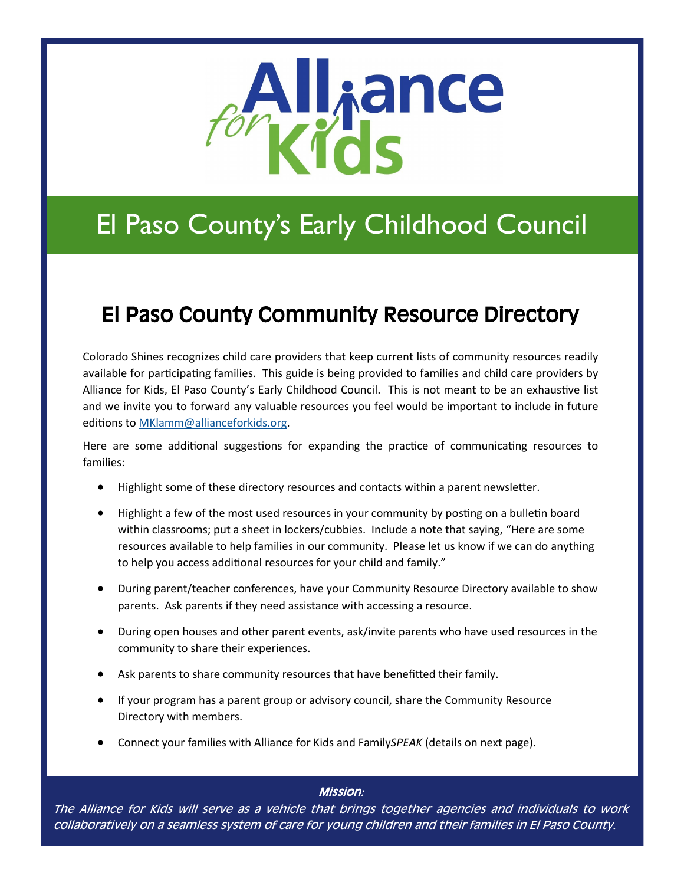

## El Paso County's Early Childhood Council

### El Paso County Community Resource Directory

Colorado Shines recognizes child care providers that keep current lists of community resources readily available for participating families. This guide is being provided to families and child care providers by Alliance for Kids, El Paso County's Early Childhood Council. This is not meant to be an exhaustive list and we invite you to forward any valuable resources you feel would be important to include in future editions to [MKlamm@allianceforkids.org.](mailto:MKlamm@allianceforkids.org) 

Here are some additional suggestions for expanding the practice of communicating resources to families:

- Highlight some of these directory resources and contacts within a parent newsletter.
- Highlight a few of the most used resources in your community by posting on a bulletin board within classrooms; put a sheet in lockers/cubbies. Include a note that saying, "Here are some resources available to help families in our community. Please let us know if we can do anything to help you access additional resources for your child and family."
- During parent/teacher conferences, have your Community Resource Directory available to show parents. Ask parents if they need assistance with accessing a resource.
- During open houses and other parent events, ask/invite parents who have used resources in the community to share their experiences.
- Ask parents to share community resources that have benefitted their family.
- If your program has a parent group or advisory council, share the Community Resource Directory with members.
- Connect your families with Alliance for Kids and Family*SPEAK* (details on next page).

### Mission:

The Alliance for Kids will serve as a vehicle that brings together agencies and individuals to work collaboratively on a seamless system of care for young children and their families in El Paso County.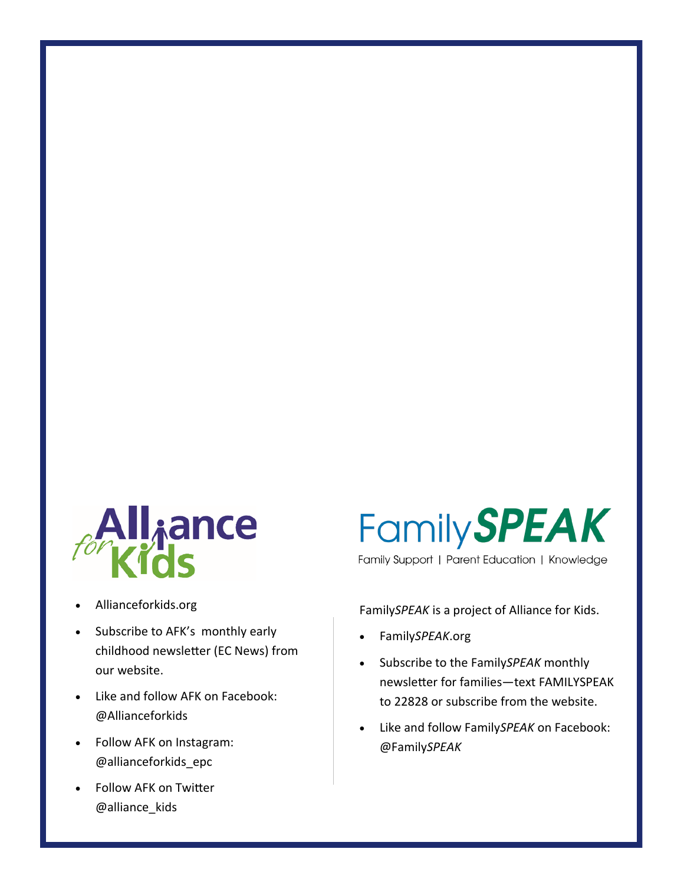

- Allianceforkids.org
- Subscribe to AFK's monthly early childhood newsletter (EC News) from our website.
- Like and follow AFK on Facebook: @Allianceforkids
- Follow AFK on Instagram: @allianceforkids\_epc
- Follow AFK on Twitter @alliance\_kids

# **Family SPEAK**

Family Support | Parent Education | Knowledge

Family*SPEAK* is a project of Alliance for Kids.

- Family*SPEAK*.org
- Subscribe to the Family*SPEAK* monthly newsletter for families—text FAMILYSPEAK to 22828 or subscribe from the website.
- Like and follow Family*SPEAK* on Facebook: @Family*SPEAK*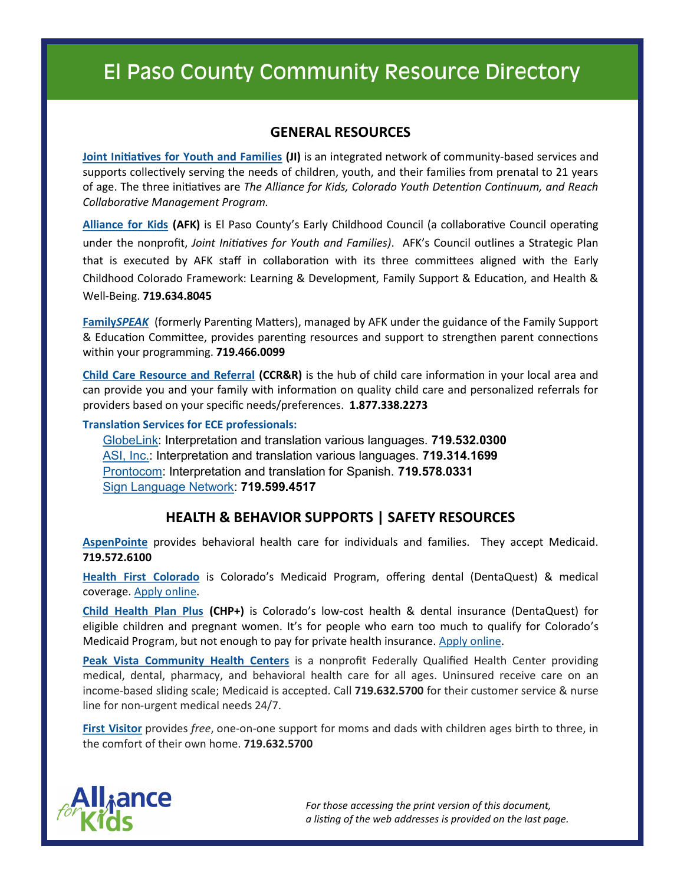### **GENERAL RESOURCES**

**[Joint Initiatives for Youth and Families](http://www.jointinitiatives.org/) (JI)** is an integrated network of community-based services and supports collectively serving the needs of children, youth, and their families from prenatal to 21 years of age. The three initiatives are *The Alliance for Kids, Colorado Youth Detention Continuum, and Reach Collaborative Management Program.* 

**[Alliance for Kids](http://www.allianceforkids.org/) (AFK)** is El Paso County's Early Childhood Council (a collaborative Council operating under the nonprofit, *Joint Initiatives for Youth and Families)*. AFK's Council outlines a Strategic Plan that is executed by AFK staff in collaboration with its three committees aligned with the Early Childhood Colorado Framework: Learning & Development, Family Support & Education, and Health & Well-Being. **719.634.8045**

**[Family](http://www.familyspeak.org/)***SPEAK* (formerly Parenting Matters), managed by AFK under the guidance of the Family Support & Education Committee, provides parenting resources and support to strengthen parent connections within your programming. **719.466.0099**

**[Child Care Resource and Referral](https://www.allianceforkids.org/ccrr/) (CCR&R)** is the hub of child care information in your local area and can provide you and your family with information on quality child care and personalized referrals for providers based on your specific needs/preferences. **1.877.338.2273**

**Translation Services for ECE professionals:**

[GlobeLink:](https://globelinkflc.com/) Interpretation and translation various languages. **719.532.0300**  [ASI, Inc.:](http://www.asi-languageservices.com) Interpretation and translation various languages. **719.314.1699**  [Prontocom:](http://www.prontocom.us) Interpretation and translation for Spanish. **719.578.0331**  [Sign Language Network:](https://www.signlanguagenetwork.com/) **719.599.4517**

### **HEALTH & BEHAVIOR SUPPORTS | SAFETY RESOURCES**

**[AspenPointe](https://www.aspenpointe.org/)** provides behavioral health care for individuals and families. They accept Medicaid. **719.572.6100**

**[Health First Colorado](https://www.healthfirstcolorado.com/)** is Colorado's Medicaid Program, offering dental (DentaQuest) & medical coverage. [Apply online.](https://www.healthfirstcolorado.com/) 

**[Child Health Plan Plus](https://www.colorado.gov/pacific/hcpf/child-health-plan-plus) (CHP+)** is Colorado's low-cost health & dental insurance (DentaQuest) for eligible children and pregnant women. It's for people who earn too much to qualify for Colorado's Medicaid Program, but not enough to pay for private health insurance. [Apply online.](https://www.colorado.gov/pacific/hcpf/child-health-plan-plus) 

**[Peak Vista Community Health Centers](http://www.peakvista.org/)** is a nonprofit Federally Qualified Health Center providing medical, dental, pharmacy, and behavioral health care for all ages. Uninsured receive care on an income-based sliding scale; Medicaid is accepted. Call **719.632.5700** for their customer service & nurse line for non-urgent medical needs 24/7.

**[First Visitor](http://www.peakvista.org/services/additional/first-visitor)** provides *free*, one-on-one support for moms and dads with children ages birth to three, in the comfort of their own home. **719.632.5700**



*For those accessing the print version of this document, a listing of the web addresses is provided on the last page.*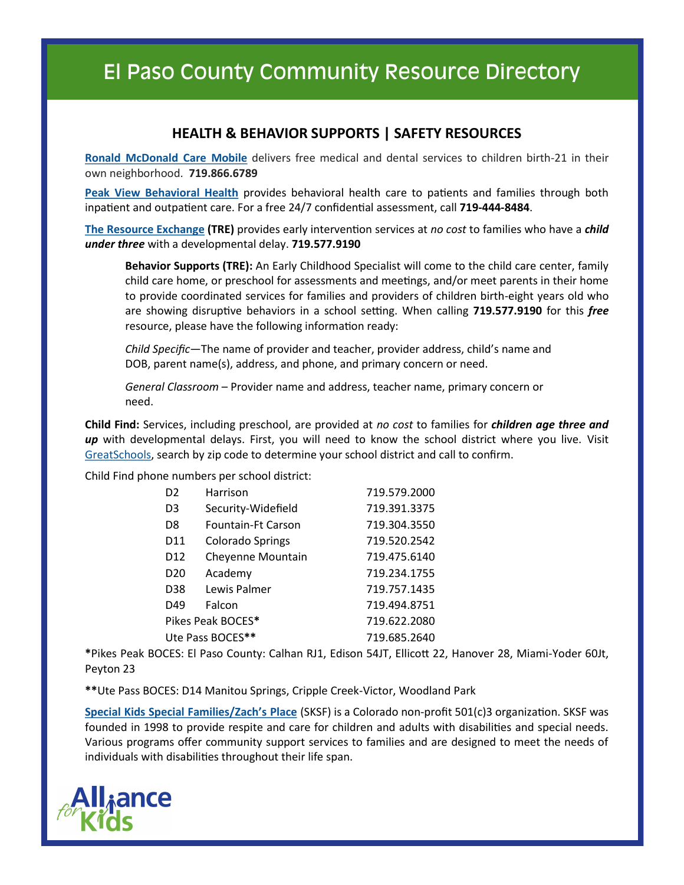### **HEALTH & BEHAVIOR SUPPORTS | SAFETY RESOURCES**

**[Ronald McDonald Care Mobile](http://rmhcsoutherncolorado.org/what-we-do/ronald-mcdonald-care-mobile/)** delivers free medical and dental services to children birth-21 in their own neighborhood. **719.866.6789**

**[Peak View Behavioral Health](http://peakviewbh.com/)** provides behavioral health care to patients and families through both inpatient and outpatient care. For a free 24/7 confidential assessment, call **719-444-8484**.

**[The Resource Exchange](http://www.tre.org/) (TRE)** provides early intervention services at *no cost* to families who have a *child under three* with a developmental delay. **719.577.9190**

**Behavior Supports (TRE):** An Early Childhood Specialist will come to the child care center, family child care home, or preschool for assessments and meetings, and/or meet parents in their home to provide coordinated services for families and providers of children birth-eight years old who are showing disruptive behaviors in a school setting. When calling **719.577.9190** for this *free* resource, please have the following information ready:

*Child Specific*—The name of provider and teacher, provider address, child's name and DOB, parent name(s), address, and phone, and primary concern or need.

*General Classroom* – Provider name and address, teacher name, primary concern or need.

**Child Find:** Services, including preschool, are provided at *no cost* to families for *children age three and up* with developmental delays. First, you will need to know the school district where you live. Visit [GreatSchools,](https://www.greatschools.org/) search by zip code to determine your school district and call to confirm.

Child Find phone numbers per school district:

| D <sub>2</sub>    | Harrison                | 719.579.2000 |
|-------------------|-------------------------|--------------|
| D <sub>3</sub>    | Security-Widefield      | 719.391.3375 |
| D8                | Fountain-Ft Carson      | 719.304.3550 |
| D <sub>11</sub>   | <b>Colorado Springs</b> | 719.520.2542 |
| D <sub>12</sub>   | Cheyenne Mountain       | 719.475.6140 |
| D <sub>20</sub>   | Academy                 | 719.234.1755 |
| D38               | Lewis Palmer            | 719.757.1435 |
| D49               | Falcon                  | 719.494.8751 |
| Pikes Peak BOCES* |                         | 719.622.2080 |
| Ute Pass BOCES**  |                         | 719.685.2640 |

**\***Pikes Peak BOCES: El Paso County: Calhan RJ1, Edison 54JT, Ellicott 22, Hanover 28, Miami-Yoder 60Jt, Peyton 23

**\*\***Ute Pass BOCES: D14 Manitou Springs, Cripple Creek-Victor, Woodland Park

**[Special Kids Special Families/Zach](http://sksfcolorado.org/)'s Place** (SKSF) is a Colorado non-profit 501(c)3 organization. SKSF was founded in 1998 to provide respite and care for children and adults with disabilities and special needs. Various programs offer community support services to families and are designed to meet the needs of individuals with disabilities throughout their life span.

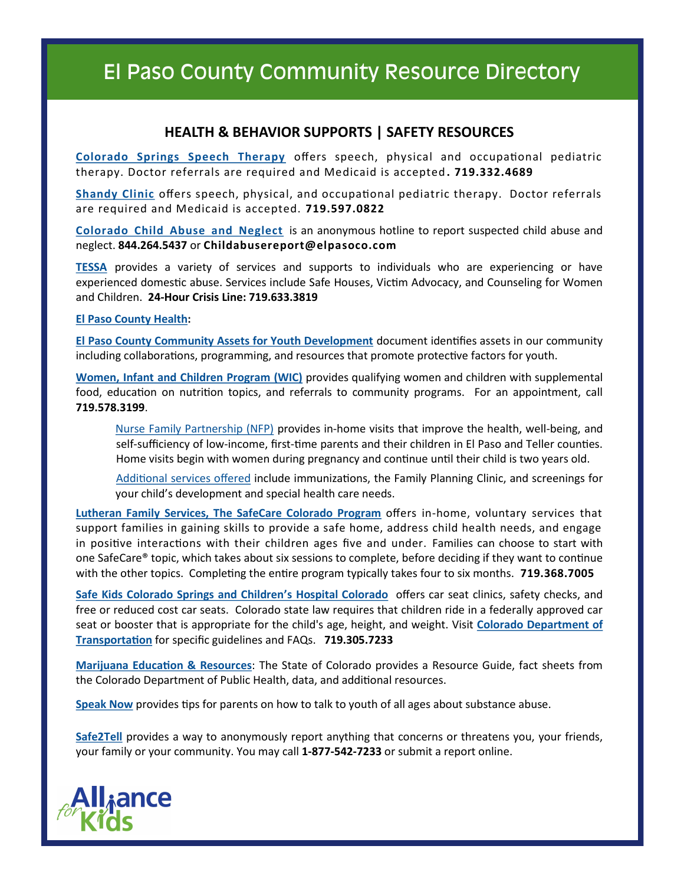### **HEALTH & BEHAVIOR SUPPORTS | SAFETY RESOURCES**

**[Colorado Springs Speech Therapy](http://colorado-springs-speech-therapy.com/home/)** offers speech, physical and occupational pediatric therapy. Doctor referrals are required and Medicaid is accepted **. 719.332.4689**

**[Shandy Clinic](https://www.shandyclinic.com/)** offers speech, physical, and occupational pediatric therapy. Doctor referrals are required and Medicaid is accepted. **719.597.0822** 

**[Colorado Child Abuse and Neglect](http://www.co4kids.org/)** is an anonymous hotline to report suspected child abuse and neglect. **844.264.5437** or **Childabusereport@elpasoco.com**

**[TESSA](https://www.tessacs.org/)** provides a variety of services and supports to individuals who are experiencing or have experienced domestic abuse. Services include Safe Houses, Victim Advocacy, and Counseling for Women and Children. **24-Hour Crisis Line: 719.633.3819** 

#### **[El Paso County Health:](https://www.elpasocountyhealth.org/)**

**[El Paso County Community Assets for Youth Development](https://www.elpasocountyhealth.org/sites/default/files/services/Youth%20Advocacy/Asset%20Guide_FINAL_1.05.pdf)** document identifies assets in our community including collaborations, programming, and resources that promote protective factors for youth.

**[Women, Infant and Children Program \(WIC\)](https://www.elpasocountyhealth.org/service/wic)** provides qualifying women and children with supplemental food, education on nutrition topics, and referrals to community programs. For an appointment, call **719.578.3199**[.](https://www.elpasocountyhealth.org/sites/default/files/Referral%20Form%208.2017.pdf)

[Nurse Family Partnership \(NFP\)](https://www.elpasocountyhealth.org/sites/default/files/Referral%20Form%208.2017.pdf) provides in-home visits that improve the health, well-being, and self-sufficiency of low-income, first-time parents and their children in El Paso and Teller counties. Home visits begin with women during pregnancy and continue until their child is two years old.

[Additional services offered](https://www.elpasocountyhealth.org/) include immunizations, the Family Planning Clinic, and screenings for your child's development and special health care needs.

**[Lutheran Family Services, The SafeCare Colorado Program](https://www.lfsrm.org/programs-and-services/prevention-services/safecare-colorado/)** offers in-home, voluntary services that support families in gaining skills to provide a safe home, address child health needs, and engage in positive interactions with their children ages five and under. Families can choose to start with one SafeCare® topic, which takes about six sessions to complete, before deciding if they want to continue with the other topics. Completing the entire program typically takes four to six months. **719.368.7005**

**[Safe Kids Colorado Springs and Children](https://www.safekids.org/coalition/safe-kids-colorado-springs)'s Hospital Colorado** offers car seat clinics, safety checks, and free or reduced cost car seats. Colorado state law requires that children ride in a federally approved car seat or booster that is appropriate for the child's age, height, and weight. Visit **[Colorado Department of](https://www.codot.gov/safety/seatbelts-carseats/carseats/colorado-child-passenger-safety-law-1)  [Transportation](https://www.codot.gov/safety/seatbelts-carseats/carseats/colorado-child-passenger-safety-law-1)** for specific guidelines and FAQs. **719.305.7233**

**[Marijuana Education & Resources](https://www.colorado.gov/pacific/marijuana/shareable-resources)**: The State of Colorado provides a Resource Guide, fact sheets from the Colorado Department of Public Health, data, and additional resources.

**[Speak Now](Tips%20for%20parents%20on%20how%20to%20talk%20to%20youth%20of%20all%20ages%20about%20substances:%20http:/www.speaknowcolorado.org/speak-now-heres-how/)** provides tips for parents on how to talk to youth of all ages about substance abuse.

**[Safe2Tell](http://www.safe2tell.org)** provides a way to anonymously report anything that concerns or threatens you, your friends, your family or your community. You may call **1-877-542-7233** or submit a report online.

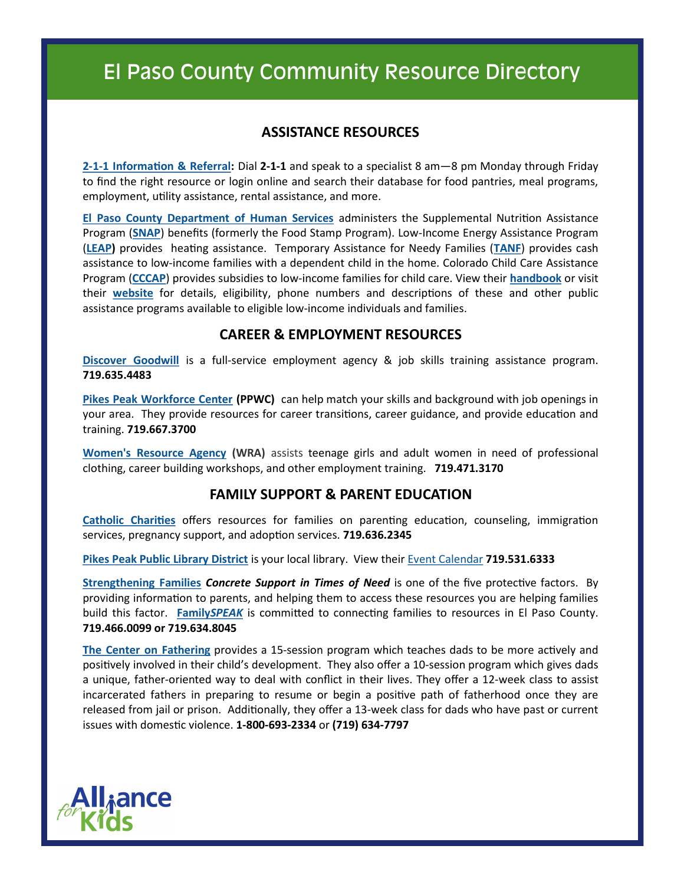### **ASSISTANCE RESOURCES**

**2-1-[1 Information & Referral:](http://www.ppunitedway.org/211database.html)** Dial **2-1-1** and speak to a specialist 8 am—8 pm Monday through Friday to find the right resource or login online and search their database for food pantries, meal programs, employment, utility assistance, rental assistance, and more.

**[El Paso County Department of Human Services](http://dhs.elpasoco.com/)** administers the Supplemental Nutrition Assistance Program (**[SNAP](http://dhs.elpasoco.com/Pages/FoodAssistance.aspx)**) benefits (formerly the Food Stamp Program). Low-Income Energy Assistance Program (**[LEAP\)](https://sites.google.com/a/state.co.us/cdhs-leap/)** provides heating assistance. Temporary Assistance for Needy Families (**[TANF](http://dhs.elpasoco.com/Pages/ColoradoWorks.aspx)**) provides cash assistance to low-income families with a dependent child in the home. Colorado Child Care Assistance Program (**[CCCAP](http://dhs.elpasoco.com/Pages/ColoradoChildCareAssistanceProgram.aspx)**) provides subsidies to low-income families for child care. View their **[handbook](http://dhs.elpasoco.com/Documents/DHSHANDBOOKRevised11-9-2017.pdf)** or visit their **[website](http://dhs.elpasoco.com/Pages/AssistancePrograms.aspx)** for details, eligibility, phone numbers and descriptions of these and other public assistance programs available to eligible low-income individuals and families.

### **CAREER & EMPLOYMENT RESOURCES**

**[Discover Goodwill](http://www.discovermygoodwill.org/jobs)** is a full-service employment agency & job skills training assistance program. **719.635.4483**

**[Pikes Peak Workforce Center](https://www.ppwfc.org/) (PPWC)** can help match your skills and background with job openings in your area. They provide resources for career transitions, career guidance, and provide education and training. **719.667.3700**

**[Women's Resource Agency](http://www.wrainc.org/) (WRA)** assists teenage girls and adult women in need of professional clothing, career building workshops, and other employment training. **719.471.3170**

### **FAMILY SUPPORT & PARENT EDUCATION**

**[Catholic Charities](http://www.ccharitiescc.org/)** offers resources for families on parenting education, counseling, immigration services, pregnancy support, and adoption services. **719.636.2345**

**[Pikes Peak Public Library District](https://ppld.org/)** is your local library. View their [Event Calendar](http://ev.ppld.org/evanced/lib/eventcalendar.asp) **719.531.6333**

**[Strengthening Families](https://cssp.org/wp-content/uploads/2018/11/About-Strengthening-Families.pdf)** *Concrete Support in Times of Need* is one of the five protective factors. By providing information to parents, and helping them to access these resources you are helping families build this factor. **[Family](http://www.familyspeak.org/)***SPEAK* is committed to connecting families to resources in El Paso County. **719.466.0099 or 719.634.8045**

**[The Center on Fathering](http://dhs.elpasoco.com/Pages/COF.aspx)** provides a 15-session program which teaches dads to be more actively and positively involved in their child's development. They also offer a 10-session program which gives dads a unique, father-oriented way to deal with conflict in their lives. They offer a 12-week class to assist incarcerated fathers in preparing to resume or begin a positive path of fatherhood once they are released from jail or prison. Additionally, they offer a 13-week class for dads who have past or current issues with domestic violence. **1-800-693-2334** or **(719) 634-7797**

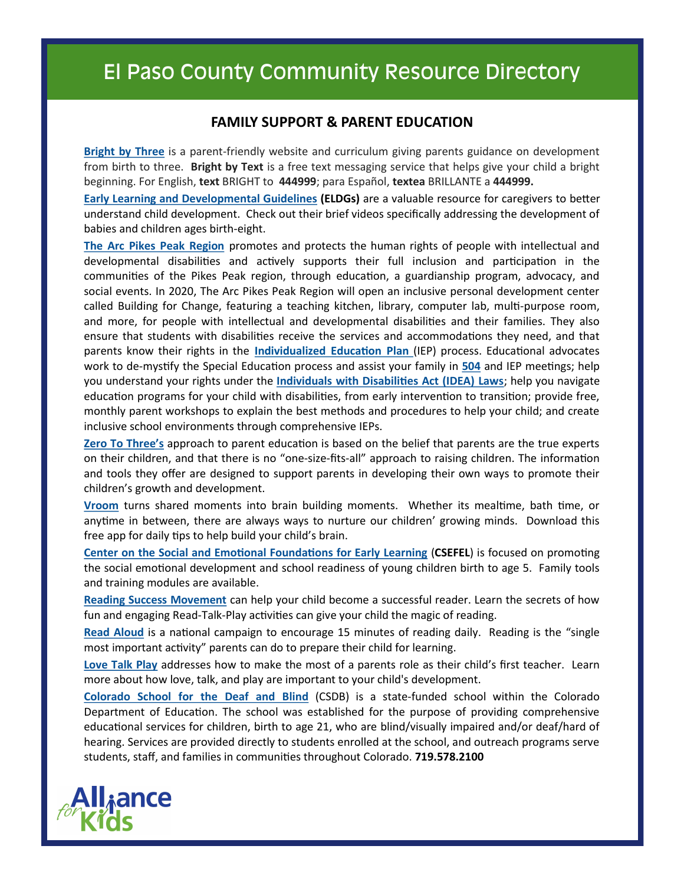### **FAMILY SUPPORT & PARENT EDUCATION**

**[Bright by Three](http://brightbythree.org/)** is a parent-friendly website and curriculum giving parents guidance on development from birth to three. **Bright by Text** is a free text messaging service that helps give your child a bright beginning. For English, **text** BRIGHT to **444999**; para Español, **textea** BRILLANTE a **444999.**

**[Early Learning and Developmental Guidelines](https://earlylearningco.org/parents-caregivers/) (ELDGs)** are a valuable resource for caregivers to better understand child development. Check out their brief videos specifically addressing the development of babies and children ages birth-eight.

**[The Arc Pikes Peak Region](http://www.thearcppr.org)** promotes and protects the human rights of people with intellectual and developmental disabilities and actively supports their full inclusion and participation in the communities of the Pikes Peak region, through education, a guardianship program, advocacy, and social events. In 2020, The Arc Pikes Peak Region will open an inclusive personal development center called Building for Change, featuring a teaching kitchen, library, computer lab, multi-purpose room, and more, for people with intellectual and developmental disabilities and their families. They also ensure that students with disabilities receive the services and accommodations they need, and that parents know their rights in the **Individualized Education Plan** (IEP) process. Educational advocates work to de-mystify the Special Education process and assist your family in **[504](https://www.understood.org/en/school-learning/special-services/504-plan/understanding-504-plans)** and IEP meetings; help you understand your rights under the **[Individuals with Disabilities Act \(IDEA\) Laws](https://www.understood.org/en/school-learning/your-childs-rights/basics-about-childs-rights/how-idea-protects-you-and-your-child)**; help you navigate education programs for your child with disabilities, from early intervention to transition; provide free, monthly parent workshops to explain the best methods and procedures to help your child; and create inclusive school environments through comprehensive IEPs.

**[Zero To Three](https://www.zerotothree.org/)'s** approach to parent education is based on the belief that parents are the true experts on their children, and that there is no "one-size-fits-all" approach to raising children. The information and tools they offer are designed to support parents in developing their own ways to promote their children's growth and development.

**[Vroom](http://joinvroom.org/)** turns shared moments into brain building moments. Whether its mealtime, bath time, or anytime in between, there are always ways to nurture our children' growing minds. Download this free app for daily tips to help build your child's brain.

**[Center on the Social and Emotional Foundations for Early Learning](http://csefel.vanderbilt.edu/resources/family.html)** (**CSEFEL**) is focused on promoting the social emotional development and school readiness of young children birth to age 5. Family tools and training modules are available.

**[Reading Success Movement](http://www.trsmovement.org/)** can help your child become a successful reader. Learn the secrets of how fun and engaging Read-Talk-Play activities can give your child the magic of reading.

**[Read Aloud](http://www.readaloud.org/)** is a national campaign to encourage 15 minutes of reading daily. Reading is the "single most important activity" parents can do to prepare their child for learning.

**[Love Talk Play](http://lovetalkplay.org/)** addresses how to make the most of a parents role as their child's first teacher. Learn more about how love, talk, and play are important to your child's development.

**[Colorado School for the Deaf and Blind](https://www.csdb.org/)** (CSDB) is a state-funded school within the Colorado Department of Education. The school was established for the purpose of providing comprehensive educational services for children, birth to age 21, who are blind/visually impaired and/or deaf/hard of hearing. Services are provided directly to students enrolled at the school, and outreach programs serve students, staff, and families in communities throughout Colorado. **719.578.2100**

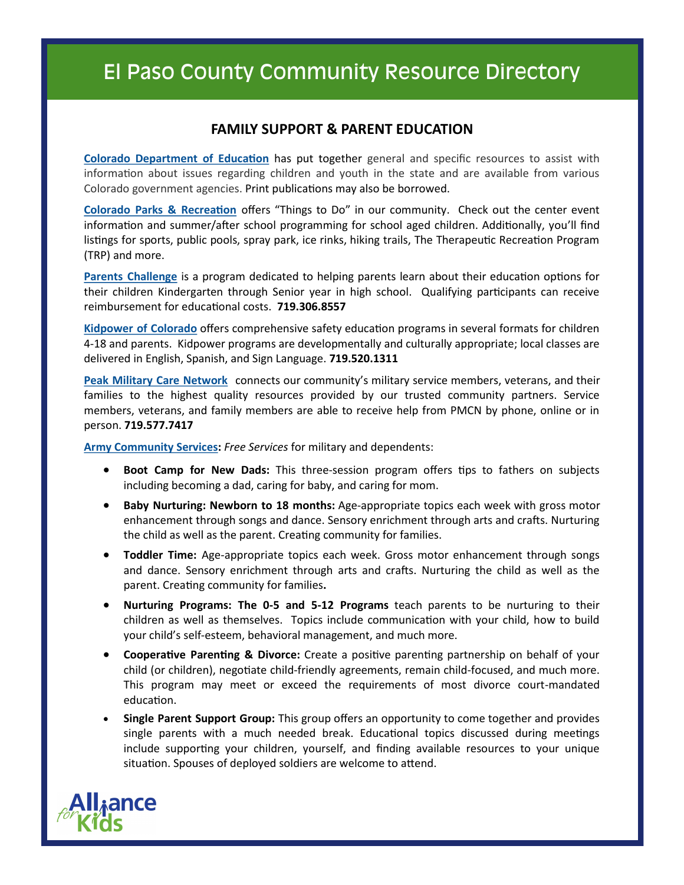### **FAMILY SUPPORT & PARENT EDUCATION**

**[Colorado Department of Education](https://www.cde.state.co.us/stateinfo/slstpfocusbiblio)** has put together general and specific resources to assist with information about issues regarding children and youth in the state and are available from various Colorado government agencies. Print publications may also be borrowed.

**[Colorado Parks & Recreation](https://www.visitcos.com/things-to-do/?utm_source=CityWebsite&utm_medium=ThingsToDo)** offers "Things to Do" in our community. Check out the center event information and summer/after school programming for school aged children. Additionally, you'll find listings for sports, public pools, spray park, ice rinks, hiking trails, The Therapeutic Recreation Program (TRP) and more.

**[Parents Challenge](http://parentschallenge.org/)** is a program dedicated to helping parents learn about their education options for their children Kindergarten through Senior year in high school. Qualifying participants can receive reimbursement for educational costs. **719.306.8557** 

**[Kidpower of Colorado](https://kidpowercs.org/)** offers comprehensive safety education programs in several formats for children 4-18 and parents. Kidpower programs are developmentally and culturally appropriate; local classes are delivered in English, Spanish, and Sign Language. **719.520.1311**

**[Peak Military Care Network](http://pmcn.org/)** connects our community's military service members, veterans, and their families to the highest quality resources provided by our trusted community partners. Service members, veterans, and family members are able to receive help from PMCN by phone, online or in person. **719.577.7417**

**[Army Community Services:](https://carson.armymwr.com/programs/army-community-service)** *Free Services* for military and dependents:

- **Boot Camp for New Dads:** This three-session program offers tips to fathers on subjects including becoming a dad, caring for baby, and caring for mom.
- **Baby Nurturing: Newborn to 18 months:** Age-appropriate topics each week with gross motor enhancement through songs and dance. Sensory enrichment through arts and crafts. Nurturing the child as well as the parent. Creating community for families.
- **Toddler Time:** Age-appropriate topics each week. Gross motor enhancement through songs and dance. Sensory enrichment through arts and crafts. Nurturing the child as well as the parent. Creating community for families**.**
- **Nurturing Programs: The 0-5 and 5-12 Programs** teach parents to be nurturing to their children as well as themselves. Topics include communication with your child, how to build your child's self-esteem, behavioral management, and much more.
- **Cooperative Parenting & Divorce:** Create a positive parenting partnership on behalf of your child (or children), negotiate child-friendly agreements, remain child-focused, and much more. This program may meet or exceed the requirements of most divorce court-mandated education.
- **Single Parent Support Group:** This group offers an opportunity to come together and provides single parents with a much needed break. Educational topics discussed during meetings include supporting your children, yourself, and finding available resources to your unique situation. Spouses of deployed soldiers are welcome to attend.

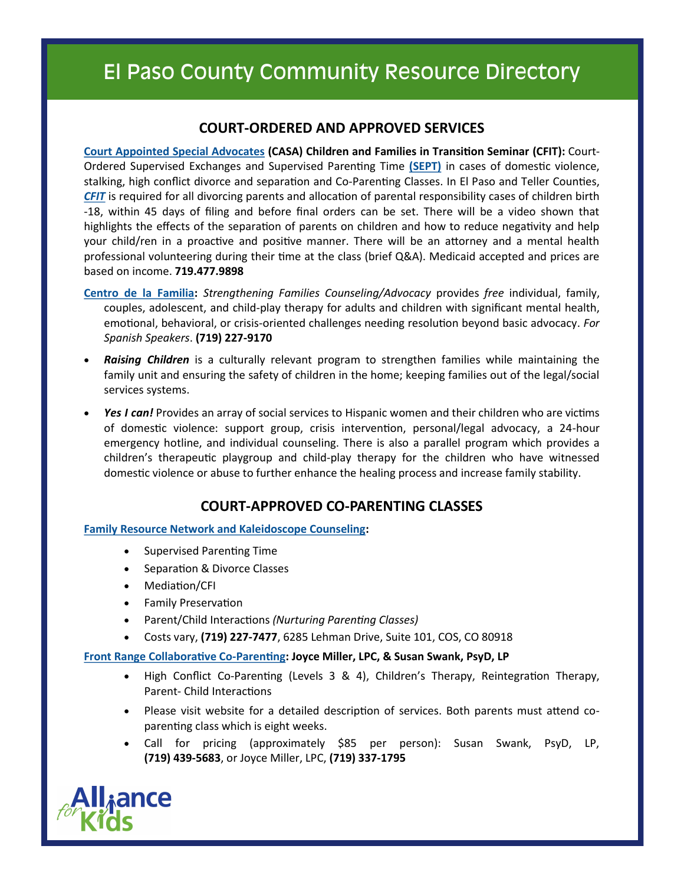### **COURT-ORDERED AND APPROVED SERVICES**

**[Court Appointed Special Advocates](https://www.casappr.org/) (CASA) Children and Families in Transition Seminar (CFIT):** Court-Ordered Supervised Exchanges and Supervised Parenting Time **[\(SEPT\)](https://www.casappr.org/programs/supervised-exchange-parenting-time-sept/)** in cases of domestic violence, stalking, high conflict divorce and separation and Co-Parenting Classes. In El Paso and Teller Counties, *[CFIT](https://www.casappr.org/cfit/)* is required for all divorcing parents and allocation of parental responsibility cases of children birth -18, within 45 days of filing and before final orders can be set. There will be a video shown that highlights the effects of the separation of parents on children and how to reduce negativity and help your child/ren in a proactive and positive manner. There will be an attorney and a mental health professional volunteering during their time at the class (brief Q&A). Medicaid accepted and prices are based on income. **719.477.9898**

- **[Centro de la Familia:](http://www.centro.ws/)** *Strengthening Families Counseling/Advocacy* provides *free* individual, family, couples, adolescent, and child-play therapy for adults and children with significant mental health, emotional, behavioral, or crisis-oriented challenges needing resolution beyond basic advocacy. *For Spanish Speakers*. **(719) 227-9170**
- *Raising Children* is a culturally relevant program to strengthen families while maintaining the family unit and ensuring the safety of children in the home; keeping families out of the legal/social services systems.
- *Yes I can!* Provides an array of social services to Hispanic women and their children who are victims of domestic violence: support group, crisis intervention, personal/legal advocacy, a 24-hour emergency hotline, and individual counseling. There is also a parallel program which provides a children's therapeutic playgroup and child-play therapy for the children who have witnessed domestic violence or abuse to further enhance the healing process and increase family stability.

### **COURT-APPROVED CO-PARENTING CLASSES**

### **[Family Resource Network and Kaleidoscope Counseling:](http://familyresourcenetworkco.com/)**

- Supervised Parenting Time
- Separation & Divorce Classes
- Mediation/CFI
- Family Preservation
- Parent/Child Interactions *(Nurturing Parenting Classes)*
- Costs vary, **(719) 227-7477**, 6285 Lehman Drive, Suite 101, COS, CO 80918

### **[Front Range Collaborative Co](http://www.frontrangecollaborativeco-parenting.com/)-Parenting: Joyce Miller, LPC, & Susan Swank, PsyD, LP**

- High Conflict Co-Parenting (Levels 3 & 4), Children's Therapy, Reintegration Therapy, Parent- Child Interactions
- Please visit website for a detailed description of services. Both parents must attend coparenting class which is eight weeks.
- Call for pricing (approximately \$85 per person): Susan Swank, PsyD, LP, **(719) 439-5683**, or Joyce Miller, LPC, **(719) 337-1795**

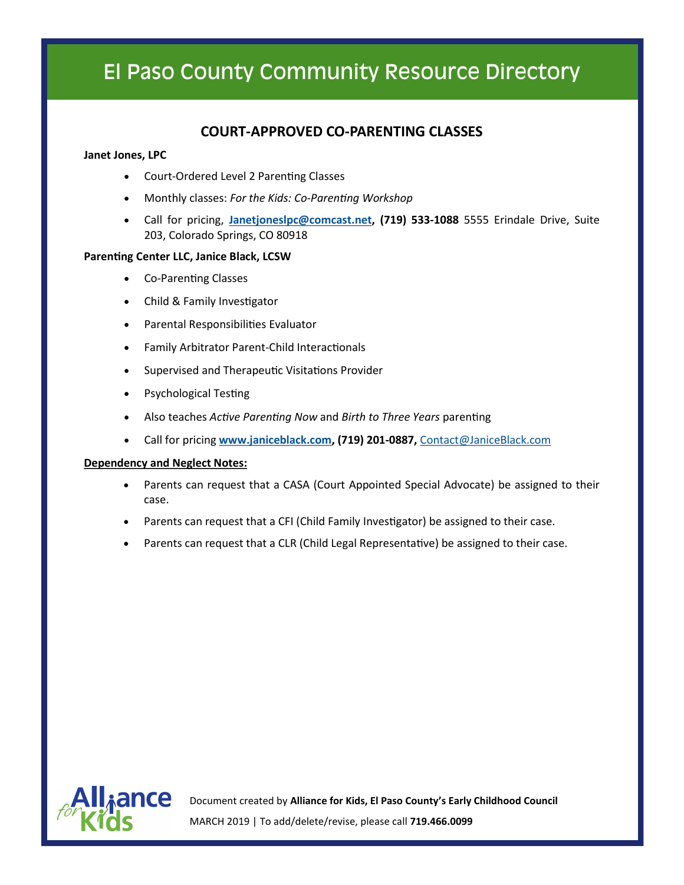### **COURT-APPROVED CO-PARENTING CLASSES**

#### **Janet Jones, LPC**

- Court-Ordered Level 2 Parenting Classes
- Monthly classes: *For the Kids: Co-Parenting Workshop*
- Call for pricing, **[Janetjoneslpc@comcast.net,](mailto:Janetjoneslpc@comcast.net) (719) 533-1088** 5555 Erindale Drive, Suite 203, Colorado Springs, CO 80918

#### **Parenting Center LLC, Janice Black, LCSW**

- Co-Parenting Classes
- Child & Family Investigator
- Parental Responsibilities Evaluator
- Family Arbitrator Parent-Child Interactionals
- Supervised and Therapeutic Visitations Provider
- Psychological Testing
- Also teaches *Active Parenting Now* and *Birth to Three Years* parenting
- Call for pricing **[www.janiceblack.com,](http://www.janiceblack.com) (719) 201-0887,** [Contact@JaniceBlack.com](mailto:Contact@JaniceBlack.com)

#### **Dependency and Neglect Notes:**

- Parents can request that a CASA (Court Appointed Special Advocate) be assigned to their case.
- Parents can request that a CFI (Child Family Investigator) be assigned to their case.
- Parents can request that a CLR (Child Legal Representative) be assigned to their case.



Document created by **Alliance for Kids, El Paso County's Early Childhood Council** MARCH 2019 | To add/delete/revise, please call **719.466.0099**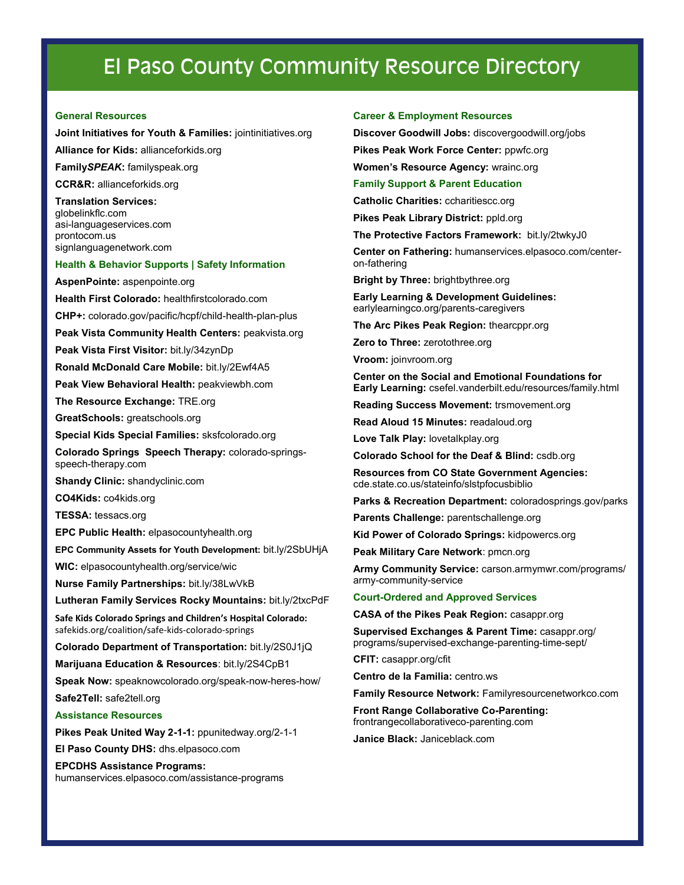#### **General Resources**

#### **Joint Initiatives for Youth & Families:** jointinitiatives.org

**Alliance for Kids:** allianceforkids.org

**Family***SPEAK***:** familyspeak.org

**CCR&R:** allianceforkids.org

**Translation Services:**  globelinkflc.com asi-languageservices.com prontocom.us signlanguagenetwork.com

#### **Health & Behavior Supports | Safety Information**

**AspenPointe:** aspenpointe.org

**Health First Colorado:** healthfirstcolorado.com

**CHP+:** colorado.gov/pacific/hcpf/child-health-plan-plus

**Peak Vista Community Health Centers:** peakvista.org

**Peak Vista First Visitor:** bit.ly/34zynDp

**Ronald McDonald Care Mobile:** bit.ly/2Ewf4A5

**Peak View Behavioral Health:** peakviewbh.com

**The Resource Exchange:** TRE.org

**GreatSchools:** greatschools.org

**Special Kids Special Families:** sksfcolorado.org

**Colorado Springs Speech Therapy:** colorado-springsspeech-therapy.com

**Shandy Clinic:** shandyclinic.com

**CO4Kids:** co4kids.org

**TESSA:** tessacs.org

**EPC Public Health:** elpasocountyhealth.org

**EPC Community Assets for Youth Development:** bit.ly/2SbUHjA

**WIC:** elpasocountyhealth.org/service/wic

**Nurse Family Partnerships:** bit.ly/38LwVkB

**Lutheran Family Services Rocky Mountains:** bit.ly/2txcPdF

**Safe Kids Colorado Springs and Children's Hospital Colorado:**  safekids.org/coalition/safe-kids-colorado-springs

**Colorado Department of Transportation:** bit.ly/2S0J1jQ

**Marijuana Education & Resources**: bit.ly/2S4CpB1

**Speak Now:** speaknowcolorado.org/speak-now-heres-how/ **Safe2Tell:** safe2tell.org

**Assistance Resources**

**Pikes Peak United Way 2-1-1:** ppunitedway.org/2-1-1

**El Paso County DHS:** dhs.elpasoco.com

**EPCDHS Assistance Programs:** 

humanservices.elpasoco.com/assistance-programs

#### **Career & Employment Resources**

**Discover Goodwill Jobs:** discovergoodwill.org/jobs

**Pikes Peak Work Force Center:** ppwfc.org

**Women's Resource Agency:** wrainc.org

#### **Family Support & Parent Education**

**Catholic Charities:** ccharitiescc.org

**Pikes Peak Library District:** ppld.org

**The Protective Factors Framework:** bit.ly/2twkyJ0

**Center on Fathering:** humanservices.elpasoco.com/centeron-fathering

**Bright by Three:** brightbythree.org

**Early Learning & Development Guidelines:**  earlylearningco.org/parents-caregivers

**The Arc Pikes Peak Region:** thearcppr.org

**Zero to Three:** zerotothree.org

**Vroom:** joinvroom.org

**Center on the Social and Emotional Foundations for Early Learning:** csefel.vanderbilt.edu/resources/family.html

**Reading Success Movement:** trsmovement.org

**Read Aloud 15 Minutes:** readaloud.org

**Love Talk Play:** lovetalkplay.org

**Colorado School for the Deaf & Blind:** csdb.org

**Resources from CO State Government Agencies:**  cde.state.co.us/stateinfo/slstpfocusbiblio

**Parks & Recreation Department:** coloradosprings.gov/parks

**Parents Challenge:** parentschallenge.org

**Kid Power of Colorado Springs:** kidpowercs.org

**Peak Military Care Network**: pmcn.org

**Army Community Service:** carson.armymwr.com/programs/ army-community-service

#### **Court-Ordered and Approved Services**

**CASA of the Pikes Peak Region:** casappr.org

**Supervised Exchanges & Parent Time:** casappr.org/ programs/supervised-exchange-parenting-time-sept/

**CFIT:** casappr.org/cfit

**Centro de la Familia:** centro.ws

**Family Resource Network:** Familyresourcenetworkco.com

**Front Range Collaborative Co-Parenting:**  frontrangecollaborativeco-parenting.com

**Janice Black:** Janiceblack.com